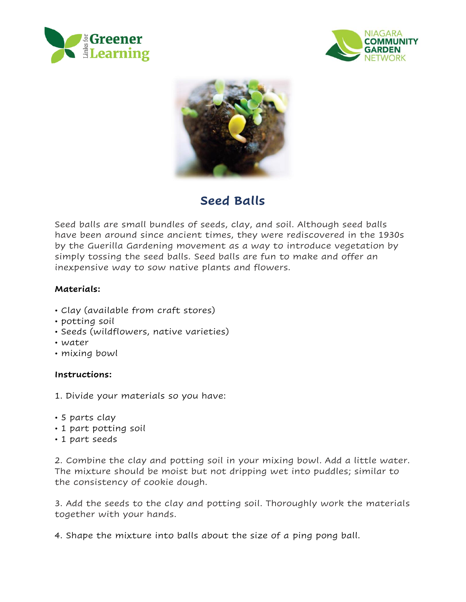





# **Seed Balls**

Seed balls are small bundles of seeds, clay, and soil. Although seed balls have been around since ancient times, they were rediscovered in the 1930s by the Guerilla Gardening movement as a way to introduce vegetation by simply tossing the seed balls. Seed balls are fun to make and offer an inexpensive way to sow native plants and flowers.

# **Materials:**

- Clay (available from craft stores)
- potting soil
- Seeds (wildflowers, native varieties)
- water
- mixing bowl

#### **Instructions:**

- 1. Divide your materials so you have:
- 5 parts clay
- 1 part potting soil
- 1 part seeds

2. Combine the clay and potting soil in your mixing bowl. Add a little water. The mixture should be moist but not dripping wet into puddles; similar to the consistency of cookie dough.

3. Add the seeds to the clay and potting soil. Thoroughly work the materials together with your hands.

4. Shape the mixture into balls about the size of a ping pong ball.